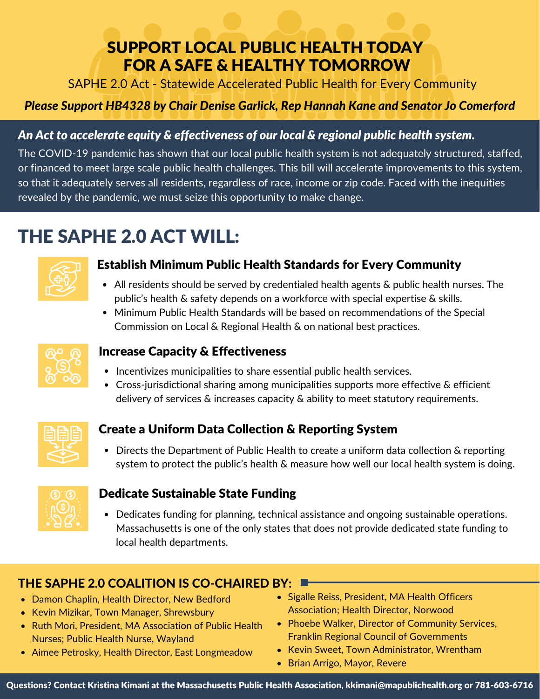## SUPPORT LOCAL PUBLIC HEALTH TODAY FOR A SAFE & HEALTHY TOMORROW

SAPHE 2.0 Act - Statewide Accelerated Public Health for Every Community

### *Please Support HB4328 by Chair Denise Garlick, Rep Hannah Kane and Senator Jo Comerford*

#### *An Act to accelerate equity & effectiveness of our local & regional public health system.*

The COVID-19 pandemic has shown that our local public health system is not adequately structured, staffed, or financed to meet large scale public health challenges. This bill will accelerate improvements to this system, so that it adequately serves all residents, regardless of race, income or zip code. Faced with the inequities revealed by the pandemic, we must seize this opportunity to make change.

# THE SAPHE 2.0 ACT WILL:



#### Establish Minimum Public Health Standards for Every Community

- All residents should be served by credentialed health agents & public health nurses. The public's health & safety depends on a workforce with special expertise & skills.
- Minimum Public Health Standards will be based on recommendations of the Special Commission on Local & Regional Health & on national best practices.



#### Increase Capacity & Effectiveness

- Incentivizes municipalities to share essential public health services.
- Cross-jurisdictional sharing among municipalities supports more effective & efficient delivery of services & increases capacity & ability to meet statutory requirements.



#### Create a Uniform Data Collection & Reporting System

• Directs the Department of Public Health to create a uniform data collection & reporting system to protect the public's health & measure how well our local health system is doing.



#### Dedicate Sustainable State Funding

Dedicates funding for planning, technical assistance and ongoing sustainable operations. Massachusetts is one of the only states that does not provide dedicated state funding to local health departments.

## THE SAPHE 2.0 COALITION IS CO-CHAIRED BY:

- Damon Chaplin, Health Director, New Bedford
- Kevin Mizikar, Town Manager, Shrewsbury
- Ruth Mori, President, MA Association of Public Health Nurses; Public Health Nurse, Wayland
- Aimee Petrosky, Health Director, East Longmeadow
- Sigalle Reiss, President, MA Health Officers Association; Health Director, Norwood
- Phoebe Walker, Director of Community Services, Franklin Regional Council of Governments
- Kevin Sweet, Town Administrator, Wrentham
- Brian Arrigo, Mayor, Revere